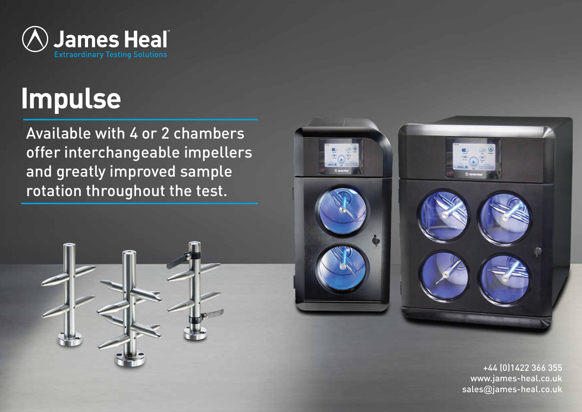

# **Impulse**

Available with 4 or 2 chambers offer interchangeable impellers and greatly improved sample rotation throughout the test.





+44 (0)1422 366 355 www.james-heal.co.uk sales@james-heal.co.uk